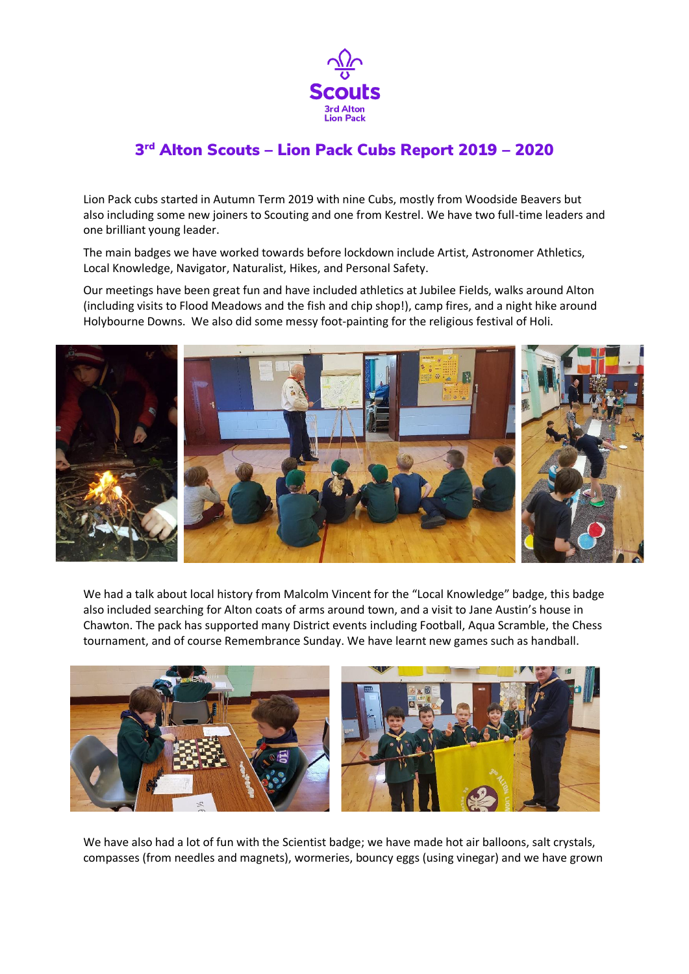

## 3 rd Alton Scouts – Lion Pack Cubs Report 2019 – 2020

Lion Pack cubs started in Autumn Term 2019 with nine Cubs, mostly from Woodside Beavers but also including some new joiners to Scouting and one from Kestrel. We have two full-time leaders and one brilliant young leader.

The main badges we have worked towards before lockdown include Artist, Astronomer Athletics, Local Knowledge, Navigator, Naturalist, Hikes, and Personal Safety.

Our meetings have been great fun and have included athletics at Jubilee Fields, walks around Alton (including visits to Flood Meadows and the fish and chip shop!), camp fires, and a night hike around Holybourne Downs. We also did some messy foot-painting for the religious festival of Holi.



We had a talk about local history from Malcolm Vincent for the "Local Knowledge" badge, this badge also included searching for Alton coats of arms around town, and a visit to Jane Austin's house in Chawton. The pack has supported many District events including Football, Aqua Scramble, the Chess tournament, and of course Remembrance Sunday. We have learnt new games such as handball.



We have also had a lot of fun with the Scientist badge; we have made hot air balloons, salt crystals, compasses (from needles and magnets), wormeries, bouncy eggs (using vinegar) and we have grown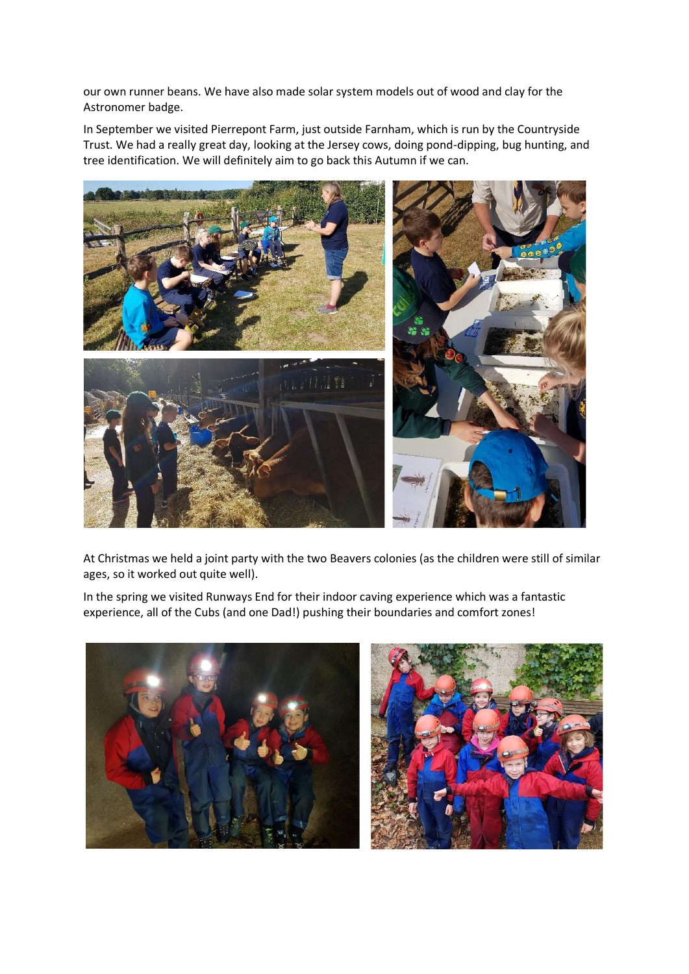our own runner beans. We have also made solar system models out of wood and clay for the Astronomer badge.

In September we visited Pierrepont Farm, just outside Farnham, which is run by the Countryside Trust. We had a really great day, looking at the Jersey cows, doing pond-dipping, bug hunting, and tree identification. We will definitely aim to go back this Autumn if we can.



At Christmas we held a joint party with the two Beavers colonies (as the children were still of similar ages, so it worked out quite well).

In the spring we visited Runways End for their indoor caving experience which was a fantastic experience, all of the Cubs (and one Dad!) pushing their boundaries and comfort zones!